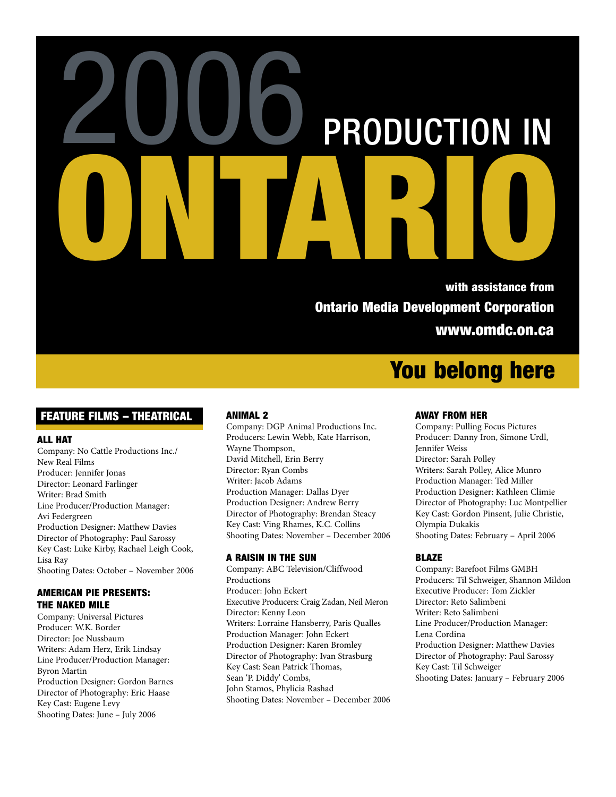# PRODUCTION IN ONTARIO 2006 with assistance from

Ontario Media Development Corporation www.omdc.on.ca

# You belong here

## FEATURE FILMS – THEATRICAL

## ALL HAT

Company: No Cattle Productions Inc./ New Real Films Producer: Jennifer Jonas Director: Leonard Farlinger Writer: Brad Smith Line Producer/Production Manager: Avi Federgreen Production Designer: Matthew Davies Director of Photography: Paul Sarossy Key Cast: Luke Kirby, Rachael Leigh Cook, Lisa Ray Shooting Dates: October – November 2006

## AMERICAN PIE PRESENTS: THE NAKED MILE

Company: Universal Pictures Producer: W.K. Border Director: Joe Nussbaum Writers: Adam Herz, Erik Lindsay Line Producer/Production Manager: Byron Martin Production Designer: Gordon Barnes Director of Photography: Eric Haase Key Cast: Eugene Levy Shooting Dates: June – July 2006

## ANIMAL 2

Company: DGP Animal Productions Inc. Producers: Lewin Webb, Kate Harrison, Wayne Thompson, David Mitchell, Erin Berry Director: Ryan Combs Writer: Jacob Adams Production Manager: Dallas Dyer Production Designer: Andrew Berry Director of Photography: Brendan Steacy Key Cast: Ving Rhames, K.C. Collins Shooting Dates: November – December 2006

## A RAISIN IN THE SUN

Company: ABC Television/Cliffwood Productions Producer: John Eckert Executive Producers: Craig Zadan, Neil Meron Director: Kenny Leon Writers: Lorraine Hansberry, Paris Qualles Production Manager: John Eckert Production Designer: Karen Bromley Director of Photography: Ivan Strasburg Key Cast: Sean Patrick Thomas, Sean 'P. Diddy' Combs, John Stamos, Phylicia Rashad Shooting Dates: November – December 2006

## AWAY FROM HER

Company: Pulling Focus Pictures Producer: Danny Iron, Simone Urdl, Jennifer Weiss Director: Sarah Polley Writers: Sarah Polley, Alice Munro Production Manager: Ted Miller Production Designer: Kathleen Climie Director of Photography: Luc Montpellier Key Cast: Gordon Pinsent, Julie Christie, Olympia Dukakis Shooting Dates: February – April 2006

## BLAZE

Company: Barefoot Films GMBH Producers: Til Schweiger, Shannon Mildon Executive Producer: Tom Zickler Director: Reto Salimbeni Writer: Reto Salimbeni Line Producer/Production Manager: Lena Cordina Production Designer: Matthew Davies Director of Photography: Paul Sarossy Key Cast: Til Schweiger Shooting Dates: January – February 2006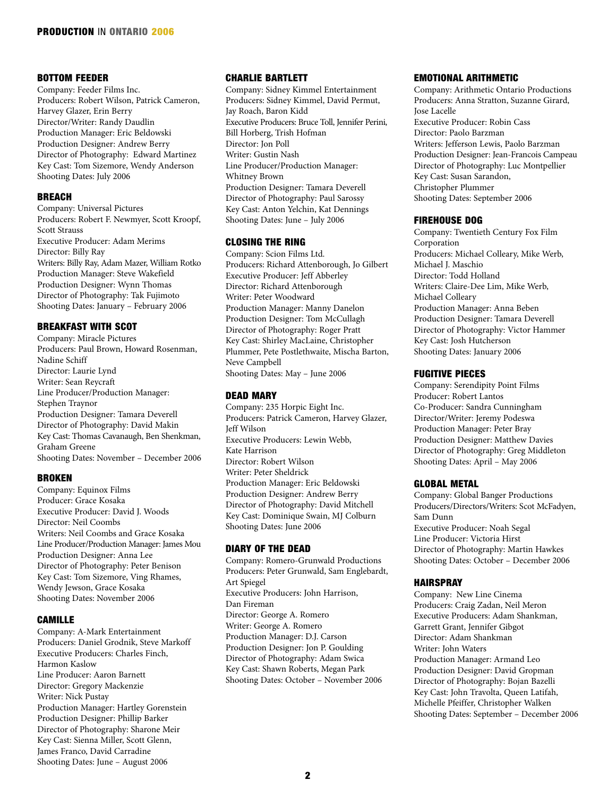## BOTTOM FEEDER

Company: Feeder Films Inc. Producers: Robert Wilson, Patrick Cameron, Harvey Glazer, Erin Berry Director/Writer: Randy Daudlin Production Manager: Eric Beldowski Production Designer: Andrew Berry Director of Photography: Edward Martinez Key Cast: Tom Sizemore, Wendy Anderson Shooting Dates: July 2006

#### BREACH

Company: Universal Pictures Producers: Robert F. Newmyer, Scott Kroopf, Scott Strauss Executive Producer: Adam Merims Director: Billy Ray Writers: Billy Ray, Adam Mazer, William Rotko Production Manager: Steve Wakefield Production Designer: Wynn Thomas Director of Photography: Tak Fujimoto Shooting Dates: January – February 2006

#### BREAKFAST WITH SCOT

Company: Miracle Pictures Producers: Paul Brown, Howard Rosenman, Nadine Schiff Director: Laurie Lynd Writer: Sean Reycraft Line Producer/Production Manager: Stephen Traynor Production Designer: Tamara Deverell Director of Photography: David Makin Key Cast: Thomas Cavanaugh, Ben Shenkman, Graham Greene Shooting Dates: November – December 2006

#### BROKEN

Company: Equinox Films Producer: Grace Kosaka Executive Producer: David J. Woods Director: Neil Coombs Writers: Neil Coombs and Grace Kosaka Line Producer/Production Manager: James Mou Production Designer: Anna Lee Director of Photography: Peter Benison Key Cast: Tom Sizemore, Ving Rhames, Wendy Jewson, Grace Kosaka Shooting Dates: November 2006

#### CAMILLE

Company: A-Mark Entertainment Producers: Daniel Grodnik, Steve Markoff Executive Producers: Charles Finch, Harmon Kaslow Line Producer: Aaron Barnett Director: Gregory Mackenzie Writer: Nick Pustay Production Manager: Hartley Gorenstein Production Designer: Phillip Barker Director of Photography: Sharone Meir Key Cast: Sienna Miller, Scott Glenn, James Franco, David Carradine Shooting Dates: June – August 2006

## CHARLIE BARTLETT

Company: Sidney Kimmel Entertainment Producers: Sidney Kimmel, David Permut, Jay Roach, Baron Kidd Executive Producers: Bruce Toll, Jennifer Perini, Bill Horberg, Trish Hofman Director: Jon Poll Writer: Gustin Nash Line Producer/Production Manager: Whitney Brown Production Designer: Tamara Deverell Director of Photography: Paul Sarossy Key Cast: Anton Yelchin, Kat Dennings Shooting Dates: June – July 2006

#### CLOSING THE RING

Company: Scion Films Ltd. Producers: Richard Attenborough, Jo Gilbert Executive Producer: Jeff Abberley Director: Richard Attenborough Writer: Peter Woodward Production Manager: Manny Danelon Production Designer: Tom McCullagh Director of Photography: Roger Pratt Key Cast: Shirley MacLaine, Christopher Plummer, Pete Postlethwaite, Mischa Barton, Neve Campbell Shooting Dates: May – June 2006

#### DEAD MARY

Company: 235 Horpic Eight Inc. Producers: Patrick Cameron, Harvey Glazer, Jeff Wilson Executive Producers: Lewin Webb, Kate Harrison Director: Robert Wilson Writer: Peter Sheldrick Production Manager: Eric Beldowski Production Designer: Andrew Berry Director of Photography: David Mitchell Key Cast: Dominique Swain, MJ Colburn Shooting Dates: June 2006

#### DIARY OF THE DEAD

Company: Romero-Grunwald Productions Producers: Peter Grunwald, Sam Englebardt, Art Spiegel Executive Producers: John Harrison, Dan Fireman Director: George A. Romero Writer: George A. Romero Production Manager: D.J. Carson Production Designer: Jon P. Goulding Director of Photography: Adam Swica Key Cast: Shawn Roberts, Megan Park Shooting Dates: October – November 2006

#### EMOTIONAL ARITHMETIC

Company: Arithmetic Ontario Productions Producers: Anna Stratton, Suzanne Girard, Jose Lacelle Executive Producer: Robin Cass Director: Paolo Barzman Writers: Jefferson Lewis, Paolo Barzman Production Designer: Jean-Francois Campeau Director of Photography: Luc Montpellier Key Cast: Susan Sarandon, Christopher Plummer Shooting Dates: September 2006

#### FIREHOUSE DOG

Company: Twentieth Century Fox Film Corporation Producers: Michael Colleary, Mike Werb, Michael J. Maschio Director: Todd Holland Writers: Claire-Dee Lim, Mike Werb, Michael Colleary Production Manager: Anna Beben Production Designer: Tamara Deverell Director of Photography: Victor Hammer Key Cast: Josh Hutcherson Shooting Dates: January 2006

#### FUGITIVE PIECES

Company: Serendipity Point Films Producer: Robert Lantos Co-Producer: Sandra Cunningham Director/Writer: Jeremy Podeswa Production Manager: Peter Bray Production Designer: Matthew Davies Director of Photography: Greg Middleton Shooting Dates: April – May 2006

#### GLOBAL METAL

Company: Global Banger Productions Producers/Directors/Writers: Scot McFadyen, Sam Dunn Executive Producer: Noah Segal Line Producer: Victoria Hirst Director of Photography: Martin Hawkes Shooting Dates: October – December 2006

#### HAIRSPRAY

Company: New Line Cinema Producers: Craig Zadan, Neil Meron Executive Producers: Adam Shankman, Garrett Grant, Jennifer Gibgot Director: Adam Shankman Writer: John Waters Production Manager: Armand Leo Production Designer: David Gropman Director of Photography: Bojan Bazelli Key Cast: John Travolta, Queen Latifah, Michelle Pfeiffer, Christopher Walken Shooting Dates: September – December 2006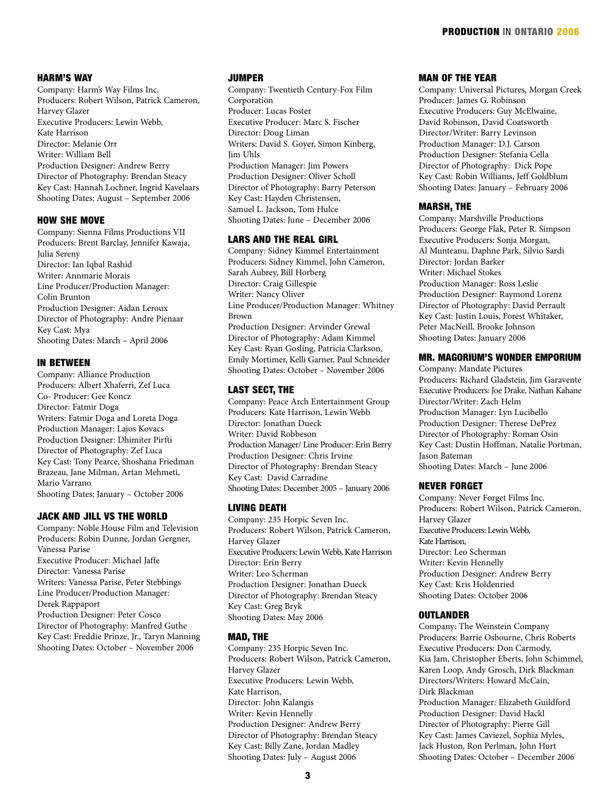#### HARM'S WAY

Company: Harm's Way Films Inc. Producers: Robert Wilson, Patrick Cameron, Harvey Glazer Executive Producers: Lewin Webb, Kate Harrison Director: Melanie Orr Writer: William Bell Production Designer: Andrew Berry Director of Photography: Brendan Steacy Key Cast: Hannah Lochner, Ingrid Kavelaars Shooting Dates: August – September 2006

#### HOW SHE MOVE

Company: Sienna Films Productions VII Producers: Brent Barclay, Jennifer Kawaja, Julia Sereny Director: Ian Iqbal Rashid Writer: Annmarie Morais Line Producer/Production Manager: Colin Brunton Production Designer: Aidan Leroux Director of Photography: Andre Pienaar Key Cast: Mya Shooting Dates: March – April 2006

#### IN BETWEEN

Company: Alliance Production Producers: Albert Xhaferri, Zef Luca Co- Producer: Gee Koncz Director: Fatmir Doga Writers: Fatmir Doga and Loreta Doga Production Manager: Lajos Kovacs Production Designer: Dhimiter Pirfti Director of Photography: Zef Luca Key Cast: Tony Pearce, Shoshana Friedman Brazeau, Jane Milman, Artan Mehmeti, Mario Varrano Shooting Dates: January – October 2006

#### JACK AND JILL VS THE WORLD

Company: Noble House Film and Television Producers: Robin Dunne, Jordan Gergner, Vanessa Parise Executive Producer: Michael Jaffe Director: Vanessa Parise Writers: Vanessa Parise, Peter Stebbings Line Producer/Production Manager: Derek Rappaport Production Designer: Peter Cosco Director of Photography: Manfred Guthe Key Cast: Freddie Prinze, Jr., Taryn Manning Shooting Dates: October – November 2006

#### JUMPER

Company: Twentieth Century-Fox Film Corporation Producer: Lucas Foster Executive Producer: Marc S. Fischer Director: Doug Liman Writers: David S. Goyer, Simon Kinberg, Jim Uhls Production Manager: Jim Powers Production Designer: Oliver Scholl Director of Photography: Barry Peterson Key Cast: Hayden Christensen, Samuel L. Jackson, Tom Hulce Shooting Dates: June – December 2006

#### LARS AND THE REAL GIRL

Company: Sidney Kimmel Entertainment Producers: Sidney Kimmel, John Cameron, Sarah Aubrey, Bill Horberg Director: Craig Gillespie Writer: Nancy Oliver Line Producer/Production Manager: Whitney Brown Production Designer: Arvinder Grewal Director of Photography: Adam Kimmel Key Cast: Ryan Gosling, Patricia Clarkson, Emily Mortimer, Kelli Garner, Paul Schneider Shooting Dates: October – November 2006

#### LAST SECT, THE

Company: Peace Arch Entertainment Group Producers: Kate Harrison, Lewin Webb Director: Jonathan Dueck Writer: David Robbeson Production Manager/ Line Producer: Erin Berry Production Designer: Chris Irvine Director of Photography: Brendan Steacy Key Cast: David Carradine Shooting Dates: December 2005 – January 2006

#### LIVING DEATH

Company: 235 Horpic Seven Inc. Producers: Robert Wilson, Patrick Cameron, Harvey Glazer Executive Producers: Lewin Webb, Kate Harrison Director: Erin Berry Writer: Leo Scherman Production Designer: Jonathan Dueck Director of Photography: Brendan Steacy Key Cast: Greg Bryk Shooting Dates: May 2006

#### MAD, THE

Company: 235 Horpic Seven Inc. Producers: Robert Wilson, Patrick Cameron, Harvey Glazer Executive Producers: Lewin Webb, Kate Harrison, Director: John Kalangis Writer: Kevin Hennelly Production Designer: Andrew Berry Director of Photography: Brendan Steacy Key Cast: Billy Zane, Jordan Madley Shooting Dates: July – August 2006

#### MAN OF THE YEAR

Company: Universal Pictures, Morgan Creek Producer: James G. Robinson Executive Producers: Guy McElwaine, David Robinson, David Coatsworth Director/Writer: Barry Levinson Production Manager: D.J. Carson Production Designer: Stefania Cella Director of Photography: Dick Pope Key Cast: Robin Williams, Jeff Goldblum Shooting Dates: January – February 2006

#### MARSH, THE

Company: Marshville Productions Producers: George Flak, Peter R. Simpson Executive Producers: Sonja Morgan, Al Munteanu, Daphne Park, Silvio Sardi Director: Jordan Barker Writer: Michael Stokes Production Manager: Ross Leslie Production Designer: Raymond Lorenz Director of Photography: David Perrault Key Cast: Justin Louis, Forest Whitaker, Peter MacNeill, Brooke Johnson Shooting Dates: January 2006

#### MR. MAGORIUM'S WONDER EMPORIUM

Company: Mandate Pictures Producers: Richard Gladstein, Jim Garavente Executive Producers: Joe Drake, Nathan Kahane Director/Writer: Zach Helm Production Manager: Lyn Lucibello Production Designer: Therese DePrez Director of Photography: Roman Osin Key Cast: Dustin Hoffman, Natalie Portman, Jason Bateman Shooting Dates: March – June 2006

#### NEVER FORGET

Company: Never Forget Films Inc. Producers: Robert Wilson, Patrick Cameron, Harvey Glazer Executive Producers: Lewin Webb, Kate Harrison, Director: Leo Scherman Writer: Kevin Hennelly Production Designer: Andrew Berry Key Cast: Kris Holdenried Shooting Dates: October 2006

#### OUTLANDER

Company: The Weinstein Company Producers: Barrie Osbourne, Chris Roberts Executive Producers: Don Carmody, Kia Jam, Christopher Eberts, John Schimmel, Karen Loop, Andy Grosch, Dirk Blackman Directors/Writers: Howard McCain, Dirk Blackman Production Manager: Elizabeth Guildford Production Designer: David Hackl Director of Photography: Pierre Gill Key Cast: James Caviezel, Sophia Myles, Jack Huston, Ron Perlman, John Hurt Shooting Dates: October – December 2006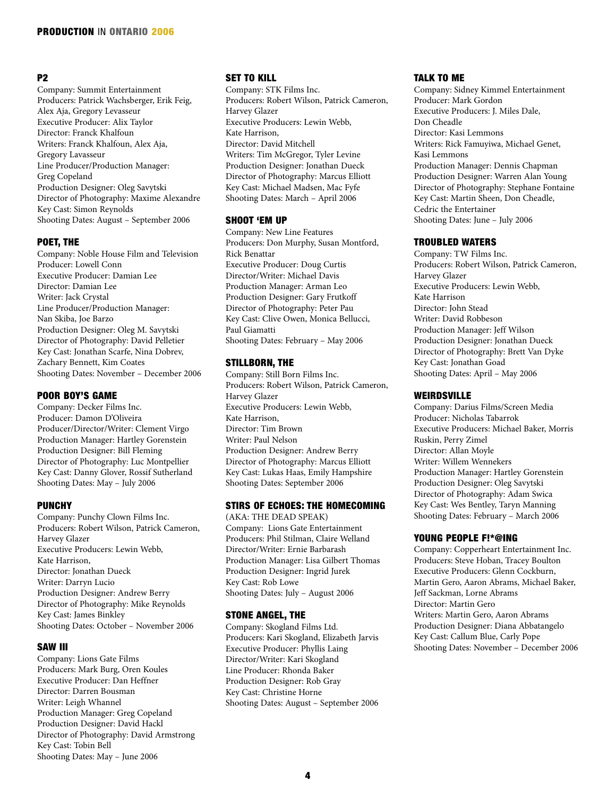## P2

Company: Summit Entertainment Producers: Patrick Wachsberger, Erik Feig, Alex Aja, Gregory Levasseur Executive Producer: Alix Taylor Director: Franck Khalfoun Writers: Franck Khalfoun, Alex Aja, Gregory Lavasseur Line Producer/Production Manager: Greg Copeland Production Designer: Oleg Savytski Director of Photography: Maxime Alexandre Key Cast: Simon Reynolds Shooting Dates: August – September 2006

### POET, THE

Company: Noble House Film and Television Producer: Lowell Conn Executive Producer: Damian Lee Director: Damian Lee Writer: Jack Crystal Line Producer/Production Manager: Nan Skiba, Joe Barzo Production Designer: Oleg M. Savytski Director of Photography: David Pelletier Key Cast: Jonathan Scarfe, Nina Dobrev, Zachary Bennett, Kim Coates Shooting Dates: November – December 2006

#### POOR BOY'S GAME

Company: Decker Films Inc. Producer: Damon D'Oliveira Producer/Director/Writer: Clement Virgo Production Manager: Hartley Gorenstein Production Designer: Bill Fleming Director of Photography: Luc Montpellier Key Cast: Danny Glover, Rossif Sutherland Shooting Dates: May – July 2006

#### PUNCHY

Company: Punchy Clown Films Inc. Producers: Robert Wilson, Patrick Cameron, Harvey Glazer Executive Producers: Lewin Webb, Kate Harrison, Director: Jonathan Dueck Writer: Darryn Lucio Production Designer: Andrew Berry Director of Photography: Mike Reynolds Key Cast: James Binkley Shooting Dates: October – November 2006

## SAW III

Company: Lions Gate Films Producers: Mark Burg, Oren Koules Executive Producer: Dan Heffner Director: Darren Bousman Writer: Leigh Whannel Production Manager: Greg Copeland Production Designer: David Hackl Director of Photography: David Armstrong Key Cast: Tobin Bell Shooting Dates: May – June 2006

## SET TO KILL

Company: STK Films Inc. Producers: Robert Wilson, Patrick Cameron, Harvey Glazer Executive Producers: Lewin Webb, Kate Harrison, Director: David Mitchell Writers: Tim McGregor, Tyler Levine Production Designer: Jonathan Dueck Director of Photography: Marcus Elliott Key Cast: Michael Madsen, Mac Fyfe Shooting Dates: March – April 2006

#### SHOOT 'EM UP

Company: New Line Features Producers: Don Murphy, Susan Montford, Rick Benattar Executive Producer: Doug Curtis Director/Writer: Michael Davis Production Manager: Arman Leo Production Designer: Gary Frutkoff Director of Photography: Peter Pau Key Cast: Clive Owen, Monica Bellucci, Paul Giamatti Shooting Dates: February – May 2006

#### STILLBORN, THE

Company: Still Born Films Inc. Producers: Robert Wilson, Patrick Cameron, Harvey Glazer Executive Producers: Lewin Webb, Kate Harrison, Director: Tim Brown Writer: Paul Nelson Production Designer: Andrew Berry Director of Photography: Marcus Elliott Key Cast: Lukas Haas, Emily Hampshire Shooting Dates: September 2006

## STIRS OF ECHOES: THE HOMECOMING

(AKA: THE DEAD SPEAK) Company: Lions Gate Entertainment Producers: Phil Stilman, Claire Welland Director/Writer: Ernie Barbarash Production Manager: Lisa Gilbert Thomas Production Designer: Ingrid Jurek Key Cast: Rob Lowe Shooting Dates: July – August 2006

#### STONE ANGEL, THE

Company: Skogland Films Ltd. Producers: Kari Skogland, Elizabeth Jarvis Executive Producer: Phyllis Laing Director/Writer: Kari Skogland Line Producer: Rhonda Baker Production Designer: Rob Gray Key Cast: Christine Horne Shooting Dates: August – September 2006

#### TALK TO ME

Company: Sidney Kimmel Entertainment Producer: Mark Gordon Executive Producers: J. Miles Dale, Don Cheadle Director: Kasi Lemmons Writers: Rick Famuyiwa, Michael Genet, Kasi Lemmons Production Manager: Dennis Chapman Production Designer: Warren Alan Young Director of Photography: Stephane Fontaine Key Cast: Martin Sheen, Don Cheadle, Cedric the Entertainer Shooting Dates: June – July 2006

#### TROUBLED WATERS

Company: TW Films Inc. Producers: Robert Wilson, Patrick Cameron, Harvey Glazer Executive Producers: Lewin Webb, Kate Harrison Director: John Stead Writer: David Robbeson Production Manager: Jeff Wilson Production Designer: Jonathan Dueck Director of Photography: Brett Van Dyke Key Cast: Jonathan Goad Shooting Dates: April – May 2006

#### WEIRDSVILLE

Company: Darius Films/Screen Media Producer: Nicholas Tabarrok Executive Producers: Michael Baker, Morris Ruskin, Perry Zimel Director: Allan Moyle Writer: Willem Wennekers Production Manager: Hartley Gorenstein Production Designer: Oleg Savytski Director of Photography: Adam Swica Key Cast: Wes Bentley, Taryn Manning Shooting Dates: February – March 2006

#### YOUNG PEOPLE F!\*@ING

Company: Copperheart Entertainment Inc. Producers: Steve Hoban, Tracey Boulton Executive Producers: Glenn Cockburn, Martin Gero, Aaron Abrams, Michael Baker, Jeff Sackman, Lorne Abrams Director: Martin Gero Writers: Martin Gero, Aaron Abrams Production Designer: Diana Abbatangelo Key Cast: Callum Blue, Carly Pope Shooting Dates: November – December 2006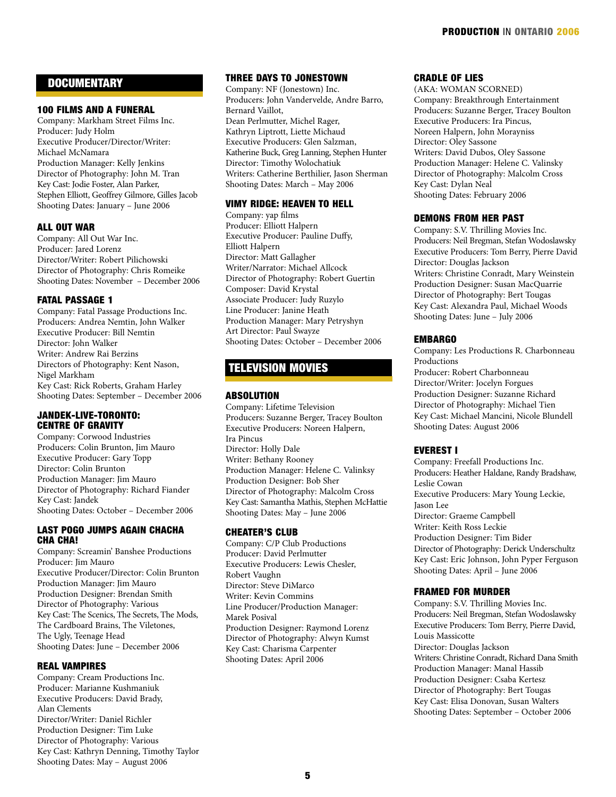## **DOCUMENTARY**

#### 100 FILMS AND A FUNERAL

Company: Markham Street Films Inc. Producer: Judy Holm Executive Producer/Director/Writer: Michael McNamara Production Manager: Kelly Jenkins Director of Photography: John M. Tran Key Cast: Jodie Foster, Alan Parker, Stephen Elliott, Geoffrey Gilmore, Gilles Jacob Shooting Dates: January – June 2006

## ALL OUT WAR

Company: All Out War Inc. Producer: Jared Lorenz Director/Writer: Robert Pilichowski Director of Photography: Chris Romeike Shooting Dates: November – December 2006

#### FATAL PASSAGE 1

Company: Fatal Passage Productions Inc. Producers: Andrea Nemtin, John Walker Executive Producer: Bill Nemtin Director: John Walker Writer: Andrew Rai Berzins Directors of Photography: Kent Nason, Nigel Markham Key Cast: Rick Roberts, Graham Harley Shooting Dates: September – December 2006

#### JANDEK-LIVE-TORONTO: CENTRE OF GRAVITY

Company: Corwood Industries Producers: Colin Brunton, Jim Mauro Executive Producer: Gary Topp Director: Colin Brunton Production Manager: Jim Mauro Director of Photography: Richard Fiander Key Cast: Jandek Shooting Dates: October – December 2006

#### LAST POGO JUMPS AGAIN CHACHA CHA CHA!

Company: Screamin' Banshee Productions Producer: Jim Mauro Executive Producer/Director: Colin Brunton Production Manager: Jim Mauro Production Designer: Brendan Smith Director of Photography: Various Key Cast: The Scenics, The Secrets, The Mods, The Cardboard Brains, The Viletones, The Ugly, Teenage Head Shooting Dates: June – December 2006

### REAL VAMPIRES

Company: Cream Productions Inc. Producer: Marianne Kushmaniuk Executive Producers: David Brady, Alan Clements Director/Writer: Daniel Richler Production Designer: Tim Luke Director of Photography: Various Key Cast: Kathryn Denning, Timothy Taylor Shooting Dates: May – August 2006

## THREE DAYS TO JONESTOWN

Company: NF (Jonestown) Inc. Producers: John Vandervelde, Andre Barro, Bernard Vaillot, Dean Perlmutter, Michel Rager, Kathryn Liptrott, Liette Michaud Executive Producers: Glen Salzman, Katherine Buck, Greg Lanning, Stephen Hunter Director: Timothy Wolochatiuk Writers: Catherine Berthilier, Jason Sherman Shooting Dates: March – May 2006

#### VIMY RIDGE: HEAVEN TO HELL

Company: yap films Producer: Elliott Halpern Executive Producer: Pauline Duffy, Elliott Halpern Director: Matt Gallagher Writer/Narrator: Michael Allcock Director of Photography: Robert Guertin Composer: David Krystal Associate Producer: Judy Ruzylo Line Producer: Janine Heath Production Manager: Mary Petryshyn Art Director: Paul Swayze Shooting Dates: October – December 2006

## TELEVISION MOVIES

#### **ABSOLUTION**

Company: Lifetime Television Producers: Suzanne Berger, Tracey Boulton Executive Producers: Noreen Halpern, Ira Pincus Director: Holly Dale Writer: Bethany Rooney Production Manager: Helene C. Valinksy Production Designer: Bob Sher Director of Photography: Malcolm Cross Key Cast: Samantha Mathis, Stephen McHattie Shooting Dates: May – June 2006

#### CHEATER'S CLUB

Company: C/P Club Productions Producer: David Perlmutter Executive Producers: Lewis Chesler, Robert Vaughn Director: Steve DiMarco Writer: Kevin Commins Line Producer/Production Manager: Marek Posival Production Designer: Raymond Lorenz Director of Photography: Alwyn Kumst Key Cast: Charisma Carpenter Shooting Dates: April 2006

## CRADLE OF LIES

(AKA: WOMAN SCORNED) Company: Breakthrough Entertainment Producers: Suzanne Berger, Tracey Boulton Executive Producers: Ira Pincus, Noreen Halpern, John Morayniss Director: Oley Sassone Writers: David Dubos, Oley Sassone Production Manager: Helene C. Valinsky Director of Photography: Malcolm Cross Key Cast: Dylan Neal Shooting Dates: February 2006

#### DEMONS FROM HER PAST

Company: S.V. Thrilling Movies Inc. Producers: Neil Bregman, Stefan Wodoslawsky Executive Producers: Tom Berry, Pierre David Director: Douglas Jackson Writers: Christine Conradt, Mary Weinstein Production Designer: Susan MacQuarrie Director of Photography: Bert Tougas Key Cast: Alexandra Paul, Michael Woods Shooting Dates: June – July 2006

#### EMBARGO

Company: Les Productions R. Charbonneau Productions Producer: Robert Charbonneau Director/Writer: Jocelyn Forgues Production Designer: Suzanne Richard Director of Photography: Michael Tien Key Cast: Michael Mancini, Nicole Blundell Shooting Dates: August 2006

#### EVEREST I

Company: Freefall Productions Inc. Producers: Heather Haldane, Randy Bradshaw, Leslie Cowan Executive Producers: Mary Young Leckie, Jason Lee Director: Graeme Campbell Writer: Keith Ross Leckie Production Designer: Tim Bider Director of Photography: Derick Underschultz Key Cast: Eric Johnson, John Pyper Ferguson Shooting Dates: April – June 2006

## FRAMED FOR MURDER

Company: S.V. Thrilling Movies Inc. Producers: Neil Bregman, Stefan Wodoslawsky Executive Producers: Tom Berry, Pierre David, Louis Massicotte Director: Douglas Jackson Writers: Christine Conradt, Richard Dana Smith Production Manager: Manal Hassib Production Designer: Csaba Kertesz Director of Photography: Bert Tougas Key Cast: Elisa Donovan, Susan Walters Shooting Dates: September – October 2006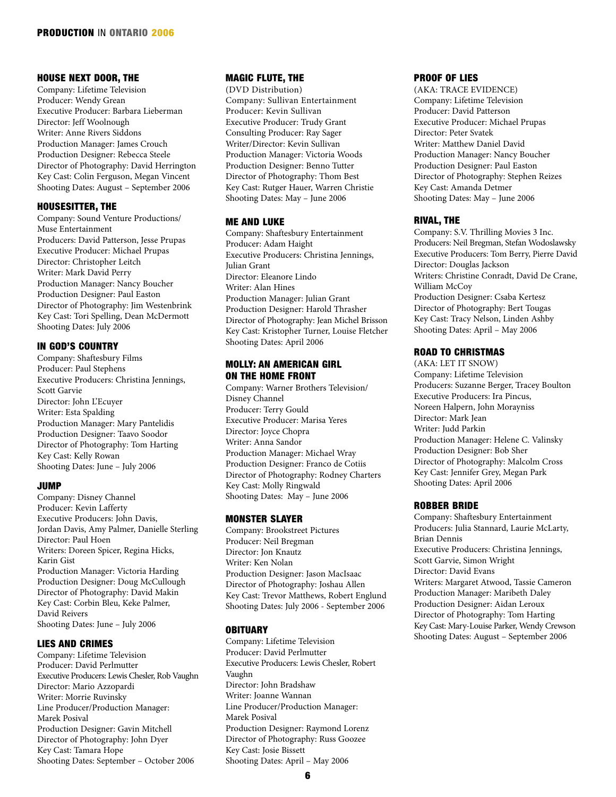#### HOUSE NEXT DOOR, THE

Company: Lifetime Television Producer: Wendy Grean Executive Producer: Barbara Lieberman Director: Jeff Woolnough Writer: Anne Rivers Siddons Production Manager: James Crouch Production Designer: Rebecca Steele Director of Photography: David Herrington Key Cast: Colin Ferguson, Megan Vincent Shooting Dates: August – September 2006

#### HOUSESITTER, THE

Company: Sound Venture Productions/ Muse Entertainment Producers: David Patterson, Jesse Prupas Executive Producer: Michael Prupas Director: Christopher Leitch Writer: Mark David Perry Production Manager: Nancy Boucher Production Designer: Paul Easton Director of Photography: Jim Westenbrink Key Cast: Tori Spelling, Dean McDermott Shooting Dates: July 2006

#### IN GOD'S COUNTRY

Company: Shaftesbury Films Producer: Paul Stephens Executive Producers: Christina Jennings, Scott Garvie Director: John L'Ecuyer Writer: Esta Spalding Production Manager: Mary Pantelidis Production Designer: Taavo Soodor Director of Photography: Tom Harting Key Cast: Kelly Rowan Shooting Dates: June – July 2006

#### JUMP

Company: Disney Channel Producer: Kevin Lafferty Executive Producers: John Davis, Jordan Davis, Amy Palmer, Danielle Sterling Director: Paul Hoen Writers: Doreen Spicer, Regina Hicks, Karin Gist Production Manager: Victoria Harding Production Designer: Doug McCullough Director of Photography: David Makin Key Cast: Corbin Bleu, Keke Palmer, David Reivers Shooting Dates: June – July 2006

## LIES AND CRIMES

Company: Lifetime Television Producer: David Perlmutter Executive Producers: Lewis Chesler, Rob Vaughn Director: Mario Azzopardi Writer: Morrie Ruvinsky Line Producer/Production Manager: Marek Posival Production Designer: Gavin Mitchell Director of Photography: John Dyer Key Cast: Tamara Hope Shooting Dates: September – October 2006

## MAGIC FLUTE, THE

(DVD Distribution) Company: Sullivan Entertainment Producer: Kevin Sullivan Executive Producer: Trudy Grant Consulting Producer: Ray Sager Writer/Director: Kevin Sullivan Production Manager: Victoria Woods Production Designer: Benno Tutter Director of Photography: Thom Best Key Cast: Rutger Hauer, Warren Christie Shooting Dates: May – June 2006

#### ME AND LUKE

Company: Shaftesbury Entertainment Producer: Adam Haight Executive Producers: Christina Jennings, Julian Grant Director: Eleanore Lindo Writer: Alan Hines Production Manager: Julian Grant Production Designer: Harold Thrasher Director of Photography: Jean Michel Brisson Key Cast: Kristopher Turner, Louise Fletcher Shooting Dates: April 2006

#### MOLLY: AN AMERICAN GIRL ON THE HOME FRONT

Company: Warner Brothers Television/ Disney Channel Producer: Terry Gould Executive Producer: Marisa Yeres Director: Joyce Chopra Writer: Anna Sandor Production Manager: Michael Wray Production Designer: Franco de Cotiis Director of Photography: Rodney Charters Key Cast: Molly Ringwald Shooting Dates: May – June 2006

#### MONSTER SLAYER

Company: Brookstreet Pictures Producer: Neil Bregman Director: Jon Knautz Writer: Ken Nolan Production Designer: Jason MacIsaac Director of Photography: Joshau Allen Key Cast: Trevor Matthews, Robert Englund Shooting Dates: July 2006 - September 2006

#### **OBITUARY**

Company: Lifetime Television Producer: David Perlmutter Executive Producers: Lewis Chesler, Robert Vaughn Director: John Bradshaw Writer: Joanne Wannan Line Producer/Production Manager: Marek Posival Production Designer: Raymond Lorenz Director of Photography: Russ Goozee Key Cast: Josie Bissett Shooting Dates: April – May 2006

#### PROOF OF LIES

(AKA: TRACE EVIDENCE) Company: Lifetime Television Producer: David Patterson Executive Producer: Michael Prupas Director: Peter Svatek Writer: Matthew Daniel David Production Manager: Nancy Boucher Production Designer: Paul Easton Director of Photography: Stephen Reizes Key Cast: Amanda Detmer Shooting Dates: May – June 2006

#### RIVAL, THE

Company: S.V. Thrilling Movies 3 Inc. Producers: Neil Bregman, Stefan Wodoslawsky Executive Producers: Tom Berry, Pierre David Director: Douglas Jackson Writers: Christine Conradt, David De Crane, William McCoy Production Designer: Csaba Kertesz Director of Photography: Bert Tougas Key Cast: Tracy Nelson, Linden Ashby Shooting Dates: April – May 2006

#### ROAD TO CHRISTMAS

(AKA: LET IT SNOW) Company: Lifetime Television Producers: Suzanne Berger, Tracey Boulton Executive Producers: Ira Pincus, Noreen Halpern, John Morayniss Director: Mark Jean Writer: Judd Parkin Production Manager: Helene C. Valinsky Production Designer: Bob Sher Director of Photography: Malcolm Cross Key Cast: Jennifer Grey, Megan Park Shooting Dates: April 2006

#### ROBBER BRIDE

Company: Shaftesbury Entertainment Producers: Julia Stannard, Laurie McLarty, Brian Dennis Executive Producers: Christina Jennings, Scott Garvie, Simon Wright Director: David Evans Writers: Margaret Atwood, Tassie Cameron Production Manager: Maribeth Daley Production Designer: Aidan Leroux Director of Photography: Tom Harting Key Cast: Mary-Louise Parker, Wendy Crewson Shooting Dates: August – September 2006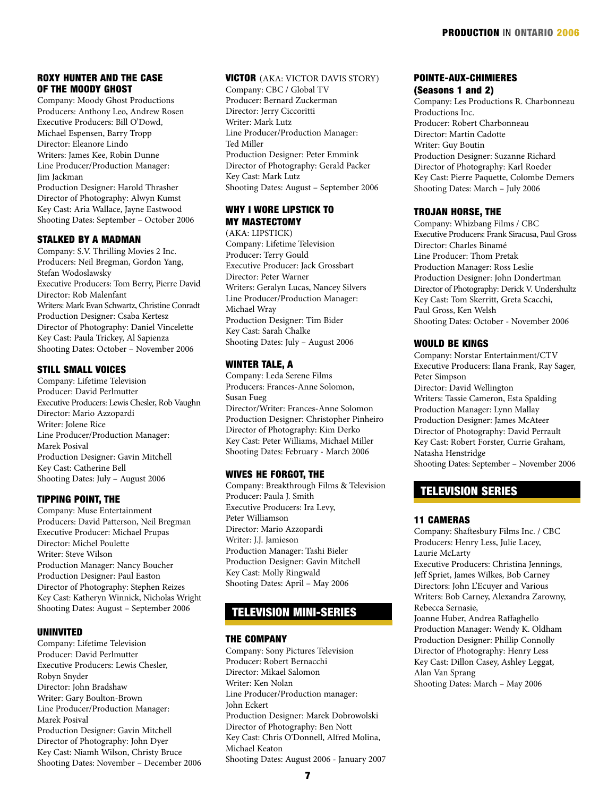## ROXY HUNTER AND THE CASE OF THE MOODY GHOST

Company: Moody Ghost Productions Producers: Anthony Leo, Andrew Rosen Executive Producers: Bill O'Dowd, Michael Espensen, Barry Tropp Director: Eleanore Lindo Writers: James Kee, Robin Dunne Line Producer/Production Manager: Jim Jackman Production Designer: Harold Thrasher Director of Photography: Alwyn Kumst

Key Cast: Aria Wallace, Jayne Eastwood Shooting Dates: September – October 2006

## STALKED BY A MADMAN

Company: S.V. Thrilling Movies 2 Inc. Producers: Neil Bregman, Gordon Yang, Stefan Wodoslawsky Executive Producers: Tom Berry, Pierre David Director: Rob Malenfant Writers: Mark Evan Schwartz, Christine Conradt Production Designer: Csaba Kertesz Director of Photography: Daniel Vincelette Key Cast: Paula Trickey, Al Sapienza Shooting Dates: October – November 2006

#### STILL SMALL VOICES

Company: Lifetime Television Producer: David Perlmutter Executive Producers: Lewis Chesler, Rob Vaughn Director: Mario Azzopardi Writer: Jolene Rice Line Producer/Production Manager: Marek Posival Production Designer: Gavin Mitchell Key Cast: Catherine Bell Shooting Dates: July – August 2006

#### TIPPING POINT, THE

Company: Muse Entertainment Producers: David Patterson, Neil Bregman Executive Producer: Michael Prupas Director: Michel Poulette Writer: Steve Wilson Production Manager: Nancy Boucher Production Designer: Paul Easton Director of Photography: Stephen Reizes Key Cast: Katheryn Winnick, Nicholas Wright Shooting Dates: August – September 2006

#### UNINVITED

Company: Lifetime Television Producer: David Perlmutter Executive Producers: Lewis Chesler, Robyn Snyder Director: John Bradshaw Writer: Gary Boulton-Brown Line Producer/Production Manager: Marek Posival Production Designer: Gavin Mitchell Director of Photography: John Dyer Key Cast: Niamh Wilson, Christy Bruce Shooting Dates: November – December 2006

#### VICTOR (AKA: VICTOR DAVIS STORY) Company: CBC / Global TV Producer: Bernard Zuckerman Director: Jerry Ciccoritti

Writer: Mark Lutz Line Producer/Production Manager: Ted Miller Production Designer: Peter Emmink Director of Photography: Gerald Packer Key Cast: Mark Lutz Shooting Dates: August – September 2006

#### WHY I WORE LIPSTICK TO MY MASTECTOMY

(AKA: LIPSTICK) Company: Lifetime Television Producer: Terry Gould Executive Producer: Jack Grossbart Director: Peter Warner Writers: Geralyn Lucas, Nancey Silvers Line Producer/Production Manager: Michael Wray Production Designer: Tim Bider Key Cast: Sarah Chalke Shooting Dates: July – August 2006

#### WINTER TALE, A

Company: Leda Serene Films Producers: Frances-Anne Solomon, Susan Fueg Director/Writer: Frances-Anne Solomon Production Designer: Christopher Pinheiro Director of Photography: Kim Derko Key Cast: Peter Williams, Michael Miller Shooting Dates: February - March 2006

#### WIVES HE FORGOT, THE

Company: Breakthrough Films & Television Producer: Paula J. Smith Executive Producers: Ira Levy, Peter Williamson Director: Mario Azzopardi Writer: J.J. Jamieson Production Manager: Tashi Bieler Production Designer: Gavin Mitchell Key Cast: Molly Ringwald Shooting Dates: April – May 2006

## TELEVISION MINI-SERIES

#### THE COMPANY

Company: Sony Pictures Television Producer: Robert Bernacchi Director: Mikael Salomon Writer: Ken Nolan Line Producer/Production manager: John Eckert Production Designer: Marek Dobrowolski Director of Photography: Ben Nott Key Cast: Chris O'Donnell, Alfred Molina, Michael Keaton Shooting Dates: August 2006 - January 2007

#### POINTE-AUX-CHIMIERES (Seasons 1 and 2)

Company: Les Productions R. Charbonneau Productions Inc. Producer: Robert Charbonneau Director: Martin Cadotte Writer: Guy Boutin Production Designer: Suzanne Richard Director of Photography: Karl Roeder Key Cast: Pierre Paquette, Colombe Demers Shooting Dates: March – July 2006

#### TROJAN HORSE, THE

Company: Whizbang Films / CBC Executive Producers: Frank Siracusa, Paul Gross Director: Charles Binamé Line Producer: Thom Pretak Production Manager: Ross Leslie Production Designer: John Dondertman Director of Photography: Derick V. Undershultz Key Cast: Tom Skerritt, Greta Scacchi, Paul Gross, Ken Welsh Shooting Dates: October - November 2006

#### WOULD BE KINGS

Company: Norstar Entertainment/CTV Executive Producers: Ilana Frank, Ray Sager, Peter Simpson Director: David Wellington Writers: Tassie Cameron, Esta Spalding Production Manager: Lynn Mallay Production Designer: James McAteer Director of Photography: David Perrault Key Cast: Robert Forster, Currie Graham, Natasha Henstridge Shooting Dates: September – November 2006

## TELEVISION SERIES

#### 11 CAMERAS

Company: Shaftesbury Films Inc. / CBC Producers: Henry Less, Julie Lacey, Laurie McLarty Executive Producers: Christina Jennings, Jeff Spriet, James Wilkes, Bob Carney Directors: John L'Ecuyer and Various Writers: Bob Carney, Alexandra Zarowny, Rebecca Sernasie,

Joanne Huber, Andrea Raffaghello Production Manager: Wendy K. Oldham Production Designer: Phillip Connolly Director of Photography: Henry Less Key Cast: Dillon Casey, Ashley Leggat, Alan Van Sprang Shooting Dates: March – May 2006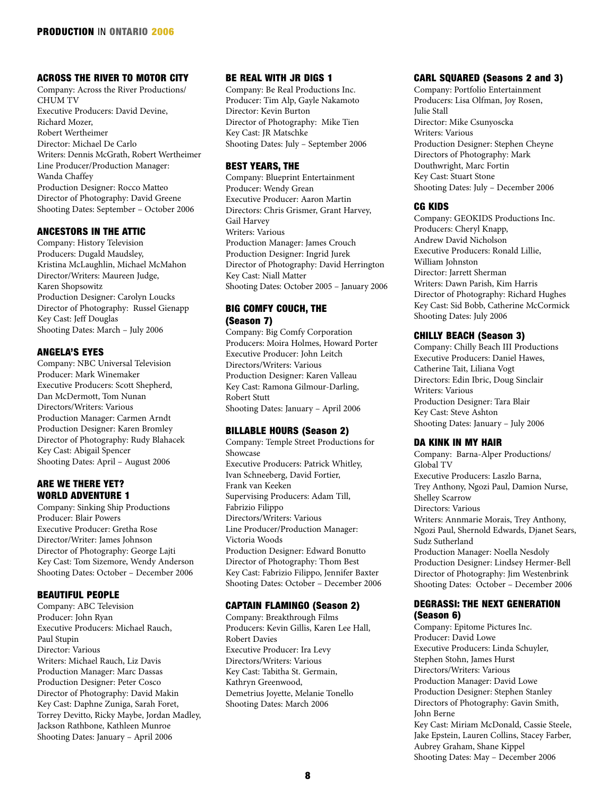#### ACROSS THE RIVER TO MOTOR CITY

Company: Across the River Productions/ CHUM TV Executive Producers: David Devine, Richard Mozer, Robert Wertheimer Director: Michael De Carlo Writers: Dennis McGrath, Robert Wertheimer Line Producer/Production Manager: Wanda Chaffey Production Designer: Rocco Matteo Director of Photography: David Greene Shooting Dates: September – October 2006

#### ANCESTORS IN THE ATTIC

Company: History Television Producers: Dugald Maudsley, Kristina McLaughlin, Michael McMahon Director/Writers: Maureen Judge, Karen Shopsowitz Production Designer: Carolyn Loucks Director of Photography: Russel Gienapp Key Cast: Jeff Douglas Shooting Dates: March – July 2006

#### ANGELA'S EYES

Company: NBC Universal Television Producer: Mark Winemaker Executive Producers: Scott Shepherd, Dan McDermott, Tom Nunan Directors/Writers: Various Production Manager: Carmen Arndt Production Designer: Karen Bromley Director of Photography: Rudy Blahacek Key Cast: Abigail Spencer Shooting Dates: April – August 2006

## ARE WE THERE YET? WORLD ADVENTURE 1

Company: Sinking Ship Productions Producer: Blair Powers Executive Producer: Gretha Rose Director/Writer: James Johnson Director of Photography: George Lajti Key Cast: Tom Sizemore, Wendy Anderson Shooting Dates: October – December 2006

#### BEAUTIFUL PEOPLE

Company: ABC Television Producer: John Ryan Executive Producers: Michael Rauch, Paul Stupin Director: Various Writers: Michael Rauch, Liz Davis Production Manager: Marc Dassas Production Designer: Peter Cosco Director of Photography: David Makin Key Cast: Daphne Zuniga, Sarah Foret, Torrey Devitto, Ricky Maybe, Jordan Madley, Jackson Rathbone, Kathleen Munroe Shooting Dates: January – April 2006

## BE REAL WITH JR DIGS 1

Company: Be Real Productions Inc. Producer: Tim Alp, Gayle Nakamoto Director: Kevin Burton Director of Photography: Mike Tien Key Cast: JR Matschke Shooting Dates: July – September 2006

#### BEST YEARS, THE

Company: Blueprint Entertainment Producer: Wendy Grean Executive Producer: Aaron Martin Directors: Chris Grismer, Grant Harvey, Gail Harvey Writers: Various Production Manager: James Crouch Production Designer: Ingrid Jurek Director of Photography: David Herrington Key Cast: Niall Matter Shooting Dates: October 2005 – January 2006

## BIG COMFY COUCH, THE (Season 7)

Company: Big Comfy Corporation Producers: Moira Holmes, Howard Porter Executive Producer: John Leitch Directors/Writers: Various Production Designer: Karen Valleau Key Cast: Ramona Gilmour-Darling, Robert Stutt Shooting Dates: January – April 2006

#### BILLABLE HOURS (Season 2)

Company: Temple Street Productions for Showcase Executive Producers: Patrick Whitley, Ivan Schneeberg, David Fortier, Frank van Keeken Supervising Producers: Adam Till, Fabrizio Filippo Directors/Writers: Various Line Producer/Production Manager: Victoria Woods Production Designer: Edward Bonutto Director of Photography: Thom Best Key Cast: Fabrizio Filippo, Jennifer Baxter Shooting Dates: October – December 2006

#### CAPTAIN FLAMINGO (Season 2)

Company: Breakthrough Films Producers: Kevin Gillis, Karen Lee Hall, Robert Davies Executive Producer: Ira Levy Directors/Writers: Various Key Cast: Tabitha St. Germain, Kathryn Greenwood, Demetrius Joyette, Melanie Tonello Shooting Dates: March 2006

#### CARL SQUARED (Seasons 2 and 3)

Company: Portfolio Entertainment Producers: Lisa Olfman, Joy Rosen, Julie Stall Director: Mike Csunyoscka Writers: Various Production Designer: Stephen Cheyne Directors of Photography: Mark Douthwright, Marc Fortin Key Cast: Stuart Stone Shooting Dates: July – December 2006

#### CG KIDS

Company: GEOKIDS Productions Inc. Producers: Cheryl Knapp, Andrew David Nicholson Executive Producers: Ronald Lillie, William Johnston Director: Jarrett Sherman Writers: Dawn Parish, Kim Harris Director of Photography: Richard Hughes Key Cast: Sid Bobb, Catherine McCormick Shooting Dates: July 2006

#### CHILLY BEACH (Season 3)

Company: Chilly Beach III Productions Executive Producers: Daniel Hawes, Catherine Tait, Liliana Vogt Directors: Edin Ibric, Doug Sinclair Writers: Various Production Designer: Tara Blair Key Cast: Steve Ashton Shooting Dates: January – July 2006

### DA KINK IN MY HAIR

Company: Barna-Alper Productions/ Global TV Executive Producers: Laszlo Barna, Trey Anthony, Ngozi Paul, Damion Nurse, Shelley Scarrow Directors: Various Writers: Annmarie Morais, Trey Anthony, Ngozi Paul, Shernold Edwards, Djanet Sears, Sudz Sutherland Production Manager: Noella Nesdoly Production Designer: Lindsey Hermer-Bell Director of Photography: Jim Westenbrink Shooting Dates: October – December 2006

#### DEGRASSI: THE NEXT GENERATION (Season 6)

Company: Epitome Pictures Inc. Producer: David Lowe Executive Producers: Linda Schuyler, Stephen Stohn, James Hurst Directors/Writers: Various Production Manager: David Lowe Production Designer: Stephen Stanley Directors of Photography: Gavin Smith, John Berne Key Cast: Miriam McDonald, Cassie Steele, Jake Epstein, Lauren Collins, Stacey Farber, Aubrey Graham, Shane Kippel Shooting Dates: May – December 2006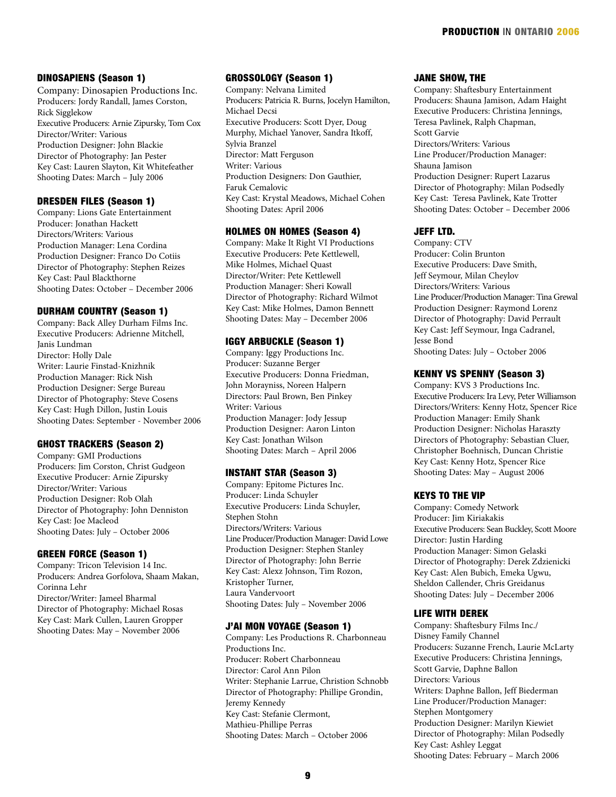#### DINOSAPIENS (Season 1)

Company: Dinosapien Productions Inc. Producers: Jordy Randall, James Corston, Rick Sigglekow Executive Producers: Arnie Zipursky, Tom Cox Director/Writer: Various Production Designer: John Blackie Director of Photography: Jan Pester Key Cast: Lauren Slayton, Kit Whitefeather Shooting Dates: March – July 2006

#### DRESDEN FILES (Season 1)

Company: Lions Gate Entertainment Producer: Jonathan Hackett Directors/Writers: Various Production Manager: Lena Cordina Production Designer: Franco Do Cotiis Director of Photography: Stephen Reizes Key Cast: Paul Blackthorne Shooting Dates: October – December 2006

### DURHAM COUNTRY (Season 1)

Company: Back Alley Durham Films Inc. Executive Producers: Adrienne Mitchell, Janis Lundman Director: Holly Dale Writer: Laurie Finstad-Knizhnik Production Manager: Rick Nish Production Designer: Serge Bureau Director of Photography: Steve Cosens Key Cast: Hugh Dillon, Justin Louis Shooting Dates: September - November 2006

#### GHOST TRACKERS (Season 2)

Company: GMI Productions Producers: Jim Corston, Christ Gudgeon Executive Producer: Arnie Zipursky Director/Writer: Various Production Designer: Rob Olah Director of Photography: John Denniston Key Cast: Joe Macleod Shooting Dates: July – October 2006

#### GREEN FORCE (Season 1)

Company: Tricon Television 14 Inc. Producers: Andrea Gorfolova, Shaam Makan, Corinna Lehr Director/Writer: Jameel Bharmal Director of Photography: Michael Rosas Key Cast: Mark Cullen, Lauren Gropper Shooting Dates: May – November 2006

## GROSSOLOGY (Season 1)

Company: Nelvana Limited Producers: Patricia R. Burns, Jocelyn Hamilton, Michael Decsi Executive Producers: Scott Dyer, Doug Murphy, Michael Yanover, Sandra Itkoff, Sylvia Branzel Director: Matt Ferguson Writer: Various Production Designers: Don Gauthier, Faruk Cemalovic Key Cast: Krystal Meadows, Michael Cohen Shooting Dates: April 2006

#### HOLMES ON HOMES (Season 4)

Company: Make It Right VI Productions Executive Producers: Pete Kettlewell, Mike Holmes, Michael Quast Director/Writer: Pete Kettlewell Production Manager: Sheri Kowall Director of Photography: Richard Wilmot Key Cast: Mike Holmes, Damon Bennett Shooting Dates: May – December 2006

#### IGGY ARBUCKLE (Season 1)

Company: Iggy Productions Inc. Producer: Suzanne Berger Executive Producers: Donna Friedman, John Morayniss, Noreen Halpern Directors: Paul Brown, Ben Pinkey Writer: Various Production Manager: Jody Jessup Production Designer: Aaron Linton Key Cast: Jonathan Wilson Shooting Dates: March – April 2006

#### INSTANT STAR (Season 3)

Company: Epitome Pictures Inc. Producer: Linda Schuyler Executive Producers: Linda Schuyler, Stephen Stohn Directors/Writers: Various Line Producer/Production Manager: David Lowe Production Designer: Stephen Stanley Director of Photography: John Berrie Key Cast: Alexz Johnson, Tim Rozon, Kristopher Turner, Laura Vandervoort Shooting Dates: July – November 2006

#### J'AI MON VOYAGE (Season 1)

Company: Les Productions R. Charbonneau Productions Inc. Producer: Robert Charbonneau Director: Carol Ann Pilon Writer: Stephanie Larrue, Christion Schnobb Director of Photography: Phillipe Grondin, Jeremy Kennedy Key Cast: Stefanie Clermont, Mathieu-Phillipe Perras Shooting Dates: March – October 2006

#### JANE SHOW, THE

Company: Shaftesbury Entertainment Producers: Shauna Jamison, Adam Haight Executive Producers: Christina Jennings, Teresa Pavlinek, Ralph Chapman, Scott Garvie Directors/Writers: Various Line Producer/Production Manager: Shauna Jamison Production Designer: Rupert Lazarus Director of Photography: Milan Podsedly Key Cast: Teresa Pavlinek, Kate Trotter Shooting Dates: October – December 2006

#### JEFF LTD.

Company: CTV Producer: Colin Brunton Executive Producers: Dave Smith, Jeff Seymour, Milan Cheylov Directors/Writers: Various Line Producer/Production Manager: Tina Grewal Production Designer: Raymond Lorenz Director of Photography: David Perrault Key Cast: Jeff Seymour, Inga Cadranel, Jesse Bond Shooting Dates: July – October 2006

#### KENNY VS SPENNY (Season 3)

Company: KVS 3 Productions Inc. Executive Producers: Ira Levy, Peter Williamson Directors/Writers: Kenny Hotz, Spencer Rice Production Manager: Emily Shank Production Designer: Nicholas Haraszty Directors of Photography: Sebastian Cluer, Christopher Boehnisch, Duncan Christie Key Cast: Kenny Hotz, Spencer Rice Shooting Dates: May – August 2006

#### KEYS TO THE VIP

Company: Comedy Network Producer: Jim Kiriakakis Executive Producers: Sean Buckley, Scott Moore Director: Justin Harding Production Manager: Simon Gelaski Director of Photography: Derek Zdzienicki Key Cast: Alen Bubich, Emeka Ugwu, Sheldon Callender, Chris Greidanus Shooting Dates: July – December 2006

#### LIFE WITH DEREK

Company: Shaftesbury Films Inc./ Disney Family Channel Producers: Suzanne French, Laurie McLarty Executive Producers: Christina Jennings, Scott Garvie, Daphne Ballon Directors: Various Writers: Daphne Ballon, Jeff Biederman Line Producer/Production Manager: Stephen Montgomery Production Designer: Marilyn Kiewiet Director of Photography: Milan Podsedly Key Cast: Ashley Leggat Shooting Dates: February – March 2006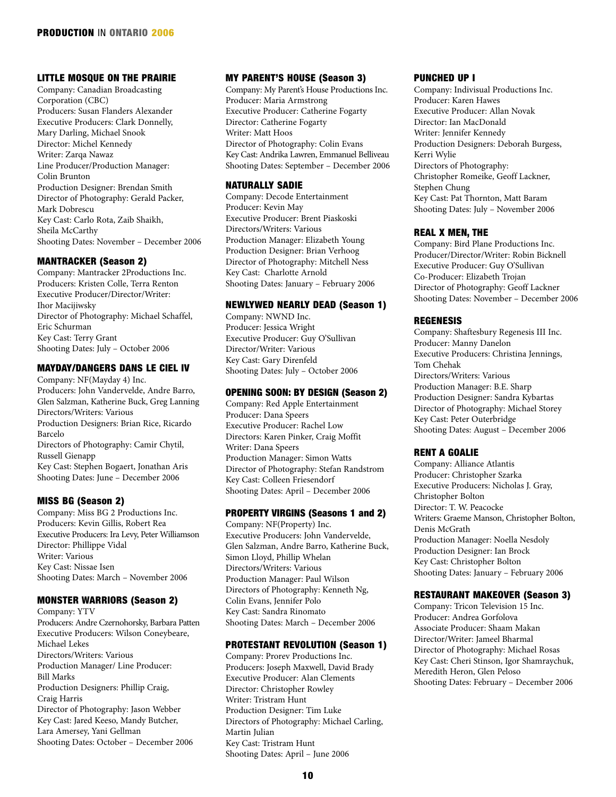## LITTLE MOSQUE ON THE PRAIRIE

Company: Canadian Broadcasting Corporation (CBC) Producers: Susan Flanders Alexander Executive Producers: Clark Donnelly, Mary Darling, Michael Snook Director: Michel Kennedy Writer: Zarqa Nawaz Line Producer/Production Manager: Colin Brunton Production Designer: Brendan Smith Director of Photography: Gerald Packer, Mark Dobrescu Key Cast: Carlo Rota, Zaib Shaikh, Sheila McCarthy Shooting Dates: November – December 2006

#### MANTRACKER (Season 2)

Company: Mantracker 2Productions Inc. Producers: Kristen Colle, Terra Renton Executive Producer/Director/Writer: Ihor Macijiwsky Director of Photography: Michael Schaffel, Eric Schurman Key Cast: Terry Grant Shooting Dates: July – October 2006

#### MAYDAY/DANGERS DANS LE CIEL IV

Company: NF(Mayday 4) Inc. Producers: John Vandervelde, Andre Barro, Glen Salzman, Katherine Buck, Greg Lanning Directors/Writers: Various Production Designers: Brian Rice, Ricardo Barcelo Directors of Photography: Camir Chytil, Russell Gienapp Key Cast: Stephen Bogaert, Jonathan Aris Shooting Dates: June – December 2006

#### MISS BG (Season 2)

Company: Miss BG 2 Productions Inc. Producers: Kevin Gillis, Robert Rea Executive Producers: Ira Levy, Peter Williamson Director: Phillippe Vidal Writer: Various Key Cast: Nissae Isen Shooting Dates: March – November 2006

## MONSTER WARRIORS (Season 2)

Company: YTV Producers: Andre Czernohorsky, Barbara Patten Executive Producers: Wilson Coneybeare, Michael Lekes Directors/Writers: Various Production Manager/ Line Producer: Bill Marks Production Designers: Phillip Craig, Craig Harris Director of Photography: Jason Webber Key Cast: Jared Keeso, Mandy Butcher, Lara Amersey, Yani Gellman Shooting Dates: October – December 2006

#### MY PARENT'S HOUSE (Season 3)

Company: My Parent's House Productions Inc. Producer: Maria Armstrong Executive Producer: Catherine Fogarty Director: Catherine Fogarty Writer: Matt Hoos Director of Photography: Colin Evans Key Cast: Andrika Lawren, Emmanuel Belliveau Shooting Dates: September – December 2006

#### NATURALLY SADIE

Company: Decode Entertainment Producer: Kevin May Executive Producer: Brent Piaskoski Directors/Writers: Various Production Manager: Elizabeth Young Production Designer: Brian Verhoog Director of Photography: Mitchell Ness Key Cast: Charlotte Arnold Shooting Dates: January – February 2006

#### NEWLYWED NEARLY DEAD (Season 1)

Company: NWND Inc. Producer: Jessica Wright Executive Producer: Guy O'Sullivan Director/Writer: Various Key Cast: Gary Direnfeld Shooting Dates: July – October 2006

#### OPENING SOON: BY DESIGN (Season 2)

Company: Red Apple Entertainment Producer: Dana Speers Executive Producer: Rachel Low Directors: Karen Pinker, Craig Moffit Writer: Dana Speers Production Manager: Simon Watts Director of Photography: Stefan Randstrom Key Cast: Colleen Friesendorf Shooting Dates: April – December 2006

#### PROPERTY VIRGINS (Seasons 1 and 2)

Company: NF(Property) Inc. Executive Producers: John Vandervelde, Glen Salzman, Andre Barro, Katherine Buck, Simon Lloyd, Phillip Whelan Directors/Writers: Various Production Manager: Paul Wilson Directors of Photography: Kenneth Ng, Colin Evans, Jennifer Polo Key Cast: Sandra Rinomato Shooting Dates: March – December 2006

#### PROTESTANT REVOLUTION (Season 1)

Company: Prorev Productions Inc. Producers: Joseph Maxwell, David Brady Executive Producer: Alan Clements Director: Christopher Rowley Writer: Tristram Hunt Production Designer: Tim Luke Directors of Photography: Michael Carling, Martin Julian Key Cast: Tristram Hunt Shooting Dates: April – June 2006

#### PUNCHED UP I

Company: Indivisual Productions Inc. Producer: Karen Hawes Executive Producer: Allan Novak Director: Ian MacDonald Writer: Jennifer Kennedy Production Designers: Deborah Burgess, Kerri Wylie Directors of Photography: Christopher Romeike, Geoff Lackner, Stephen Chung Key Cast: Pat Thornton, Matt Baram Shooting Dates: July – November 2006

#### REAL X MEN, THE

Company: Bird Plane Productions Inc. Producer/Director/Writer: Robin Bicknell Executive Producer: Guy O'Sullivan Co-Producer: Elizabeth Trojan Director of Photography: Geoff Lackner Shooting Dates: November – December 2006

#### REGENESIS

Company: Shaftesbury Regenesis III Inc. Producer: Manny Danelon Executive Producers: Christina Jennings, Tom Chehak Directors/Writers: Various Production Manager: B.E. Sharp Production Designer: Sandra Kybartas Director of Photography: Michael Storey Key Cast: Peter Outerbridge Shooting Dates: August – December 2006

#### RENT A GOALIE

Company: Alliance Atlantis Producer: Christopher Szarka Executive Producers: Nicholas J. Gray, Christopher Bolton Director: T. W. Peacocke Writers: Graeme Manson, Christopher Bolton, Denis McGrath Production Manager: Noella Nesdoly Production Designer: Ian Brock Key Cast: Christopher Bolton Shooting Dates: January – February 2006

## RESTAURANT MAKEOVER (Season 3)

Company: Tricon Television 15 Inc. Producer: Andrea Gorfolova Associate Producer: Shaam Makan Director/Writer: Jameel Bharmal Director of Photography: Michael Rosas Key Cast: Cheri Stinson, Igor Shamraychuk, Meredith Heron, Glen Peloso Shooting Dates: February – December 2006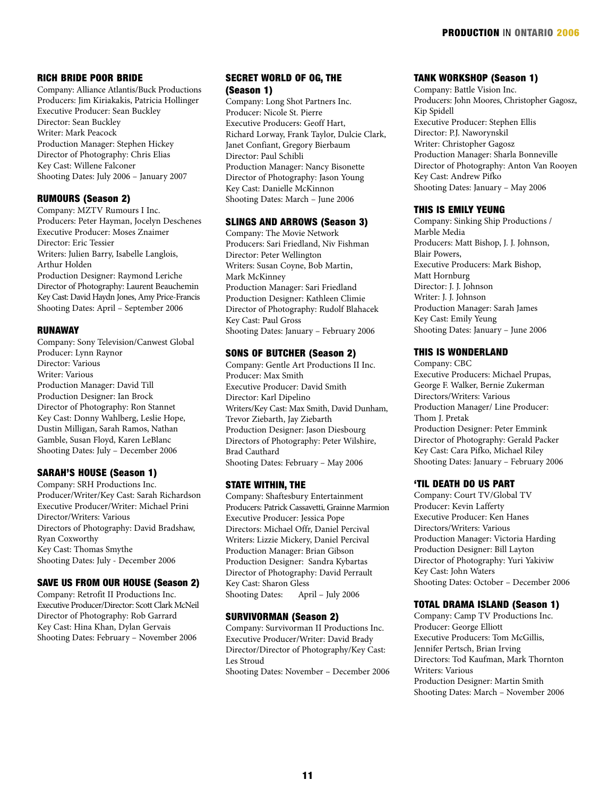## RICH BRIDE POOR BRIDE

Company: Alliance Atlantis/Buck Productions Producers: Jim Kiriakakis, Patricia Hollinger Executive Producer: Sean Buckley Director: Sean Buckley Writer: Mark Peacock Production Manager: Stephen Hickey Director of Photography: Chris Elias Key Cast: Willene Falconer Shooting Dates: July 2006 – January 2007

#### RUMOURS (Season 2)

Company: MZTV Rumours I Inc. Producers: Peter Hayman, Jocelyn Deschenes Executive Producer: Moses Znaimer Director: Eric Tessier Writers: Julien Barry, Isabelle Langlois, Arthur Holden Production Designer: Raymond Leriche Director of Photography: Laurent Beauchemin Key Cast: David Haydn Jones, Amy Price-Francis Shooting Dates: April – September 2006

#### RUNAWAY

Company: Sony Television/Canwest Global Producer: Lynn Raynor Director: Various Writer: Various Production Manager: David Till Production Designer: Ian Brock Director of Photography: Ron Stannet Key Cast: Donny Wahlberg, Leslie Hope, Dustin Milligan, Sarah Ramos, Nathan Gamble, Susan Floyd, Karen LeBlanc Shooting Dates: July – December 2006

## SARAH'S HOUSE (Season 1)

Company: SRH Productions Inc. Producer/Writer/Key Cast: Sarah Richardson Executive Producer/Writer: Michael Prini Director/Writers: Various Directors of Photography: David Bradshaw, Ryan Coxworthy Key Cast: Thomas Smythe Shooting Dates: July - December 2006

#### SAVE US FROM OUR HOUSE (Season 2)

Company: Retrofit II Productions Inc. Executive Producer/Director: Scott Clark McNeil Director of Photography: Rob Garrard Key Cast: Hina Khan, Dylan Gervais Shooting Dates: February – November 2006

## SECRET WORLD OF OG, THE (Season 1)

Company: Long Shot Partners Inc. Producer: Nicole St. Pierre Executive Producers: Geoff Hart, Richard Lorway, Frank Taylor, Dulcie Clark, Janet Confiant, Gregory Bierbaum Director: Paul Schibli Production Manager: Nancy Bisonette Director of Photography: Jason Young Key Cast: Danielle McKinnon Shooting Dates: March – June 2006

#### SLINGS AND ARROWS (Season 3)

Company: The Movie Network Producers: Sari Friedland, Niv Fishman Director: Peter Wellington Writers: Susan Coyne, Bob Martin, Mark McKinney Production Manager: Sari Friedland Production Designer: Kathleen Climie Director of Photography: Rudolf Blahacek Key Cast: Paul Gross Shooting Dates: January – February 2006

#### SONS OF BUTCHER (Season 2)

Company: Gentle Art Productions II Inc. Producer: Max Smith Executive Producer: David Smith Director: Karl Dipelino Writers/Key Cast: Max Smith, David Dunham, Trevor Ziebarth, Jay Ziebarth Production Designer: Jason Diesbourg Directors of Photography: Peter Wilshire, Brad Cauthard Shooting Dates: February – May 2006

#### STATE WITHIN, THE

Company: Shaftesbury Entertainment Producers: Patrick Cassavetti, Grainne Marmion Executive Producer: Jessica Pope Directors: Michael Offr, Daniel Percival Writers: Lizzie Mickery, Daniel Percival Production Manager: Brian Gibson Production Designer: Sandra Kybartas Director of Photography: David Perrault Key Cast: Sharon Gless<br>Shooting Dates: Apr April – July 2006

#### SURVIVORMAN (Season 2)

Company: Survivorman II Productions Inc. Executive Producer/Writer: David Brady Director/Director of Photography/Key Cast: Les Stroud

Shooting Dates: November – December 2006

#### TANK WORKSHOP (Season 1)

Company: Battle Vision Inc. Producers: John Moores, Christopher Gagosz, Kip Spidell Executive Producer: Stephen Ellis Director: P.J. Naworynskil Writer: Christopher Gagosz Production Manager: Sharla Bonneville Director of Photography: Anton Van Rooyen Key Cast: Andrew Pifko Shooting Dates: January – May 2006

#### THIS IS EMILY YEUNG

Company: Sinking Ship Productions / Marble Media Producers: Matt Bishop, J. J. Johnson, Blair Powers, Executive Producers: Mark Bishop, Matt Hornburg Director: J. J. Johnson Writer: J. J. Johnson Production Manager: Sarah James Key Cast: Emily Yeung Shooting Dates: January – June 2006

#### THIS IS WONDERLAND

Company: CBC Executive Producers: Michael Prupas, George F. Walker, Bernie Zukerman Directors/Writers: Various Production Manager/ Line Producer: Thom J. Pretak Production Designer: Peter Emmink Director of Photography: Gerald Packer Key Cast: Cara Pifko, Michael Riley Shooting Dates: January – February 2006

#### 'TIL DEATH DO US PART

Company: Court TV/Global TV Producer: Kevin Lafferty Executive Producer: Ken Hanes Directors/Writers: Various Production Manager: Victoria Harding Production Designer: Bill Layton Director of Photography: Yuri Yakiviw Key Cast: John Waters Shooting Dates: October – December 2006

#### TOTAL DRAMA ISLAND (Season 1)

Company: Camp TV Productions Inc. Producer: George Elliott Executive Producers: Tom McGillis, Jennifer Pertsch, Brian Irving Directors: Tod Kaufman, Mark Thornton Writers: Various Production Designer: Martin Smith Shooting Dates: March – November 2006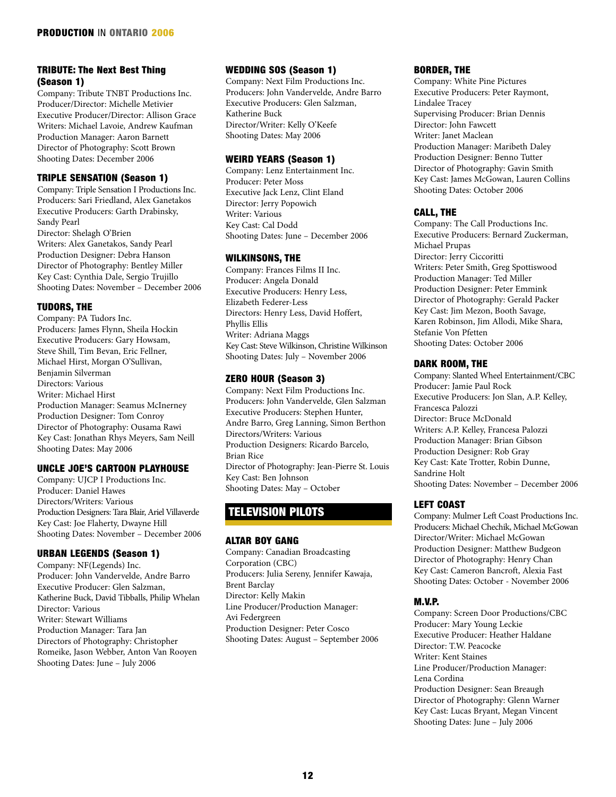## TRIBUTE: The Next Best Thing (Season 1)

Company: Tribute TNBT Productions Inc. Producer/Director: Michelle Metivier Executive Producer/Director: Allison Grace Writers: Michael Lavoie, Andrew Kaufman Production Manager: Aaron Barnett Director of Photography: Scott Brown Shooting Dates: December 2006

## TRIPLE SENSATION (Season 1)

Company: Triple Sensation I Productions Inc. Producers: Sari Friedland, Alex Ganetakos Executive Producers: Garth Drabinsky, Sandy Pearl Director: Shelagh O'Brien Writers: Alex Ganetakos, Sandy Pearl Production Designer: Debra Hanson Director of Photography: Bentley Miller Key Cast: Cynthia Dale, Sergio Trujillo Shooting Dates: November – December 2006

## TUDORS, THE

Company: PA Tudors Inc. Producers: James Flynn, Sheila Hockin Executive Producers: Gary Howsam, Steve Shill, Tim Bevan, Eric Fellner, Michael Hirst, Morgan O'Sullivan, Benjamin Silverman Directors: Various Writer: Michael Hirst Production Manager: Seamus McInerney Production Designer: Tom Conroy Director of Photography: Ousama Rawi Key Cast: Jonathan Rhys Meyers, Sam Neill Shooting Dates: May 2006

## UNCLE JOE'S CARTOON PLAYHOUSE

Company: UJCP I Productions Inc. Producer: Daniel Hawes Directors/Writers: Various Production Designers: Tara Blair, Ariel Villaverde Key Cast: Joe Flaherty, Dwayne Hill Shooting Dates: November – December 2006

## URBAN LEGENDS (Season 1)

Company: NF(Legends) Inc. Producer: John Vandervelde, Andre Barro Executive Producer: Glen Salzman, Katherine Buck, David Tibballs, Philip Whelan Director: Various Writer: Stewart Williams Production Manager: Tara Jan Directors of Photography: Christopher Romeike, Jason Webber, Anton Van Rooyen Shooting Dates: June – July 2006

## WEDDING SOS (Season 1)

Company: Next Film Productions Inc. Producers: John Vandervelde, Andre Barro Executive Producers: Glen Salzman, Katherine Buck Director/Writer: Kelly O'Keefe Shooting Dates: May 2006

## WEIRD YEARS (Season 1)

Company: Lenz Entertainment Inc. Producer: Peter Moss Executive Jack Lenz, Clint Eland Director: Jerry Popowich Writer: Various Key Cast: Cal Dodd Shooting Dates: June – December 2006

## WILKINSONS, THE

Company: Frances Films II Inc. Producer: Angela Donald Executive Producers: Henry Less, Elizabeth Federer-Less Directors: Henry Less, David Hoffert, Phyllis Ellis Writer: Adriana Maggs Key Cast: Steve Wilkinson, Christine Wilkinson Shooting Dates: July – November 2006

## ZERO HOUR (Season 3)

Company: Next Film Productions Inc. Producers: John Vandervelde, Glen Salzman Executive Producers: Stephen Hunter, Andre Barro, Greg Lanning, Simon Berthon Directors/Writers: Various Production Designers: Ricardo Barcelo, Brian Rice Director of Photography: Jean-Pierre St. Louis Key Cast: Ben Johnson Shooting Dates: May – October

## TELEVISION PILOTS

## ALTAR BOY GANG

Company: Canadian Broadcasting Corporation (CBC) Producers: Julia Sereny, Jennifer Kawaja, Brent Barclay Director: Kelly Makin Line Producer/Production Manager: Avi Federgreen Production Designer: Peter Cosco Shooting Dates: August – September 2006

## BORDER, THE

Company: White Pine Pictures Executive Producers: Peter Raymont, Lindalee Tracey Supervising Producer: Brian Dennis Director: John Fawcett Writer: Janet Maclean Production Manager: Maribeth Daley Production Designer: Benno Tutter Director of Photography: Gavin Smith Key Cast: James McGowan, Lauren Collins Shooting Dates: October 2006

## CALL, THE

Company: The Call Productions Inc. Executive Producers: Bernard Zuckerman, Michael Prupas Director: Jerry Ciccoritti Writers: Peter Smith, Greg Spottiswood Production Manager: Ted Miller Production Designer: Peter Emmink Director of Photography: Gerald Packer Key Cast: Jim Mezon, Booth Savage, Karen Robinson, Jim Allodi, Mike Shara, Stefanie Von Pfetten Shooting Dates: October 2006

## DARK ROOM, THE

Company: Slanted Wheel Entertainment/CBC Producer: Jamie Paul Rock Executive Producers: Jon Slan, A.P. Kelley, Francesca Palozzi Director: Bruce McDonald Writers: A.P. Kelley, Francesa Palozzi Production Manager: Brian Gibson Production Designer: Rob Gray Key Cast: Kate Trotter, Robin Dunne, Sandrine Holt Shooting Dates: November – December 2006

## LEFT COAST

Company: Mulmer Left Coast Productions Inc. Producers: Michael Chechik, Michael McGowan Director/Writer: Michael McGowan Production Designer: Matthew Budgeon Director of Photography: Henry Chan Key Cast: Cameron Bancroft, Alexia Fast Shooting Dates: October - November 2006

## M.V.P.

Company: Screen Door Productions/CBC Producer: Mary Young Leckie Executive Producer: Heather Haldane Director: T.W. Peacocke Writer: Kent Staines Line Producer/Production Manager: Lena Cordina Production Designer: Sean Breaugh Director of Photography: Glenn Warner Key Cast: Lucas Bryant, Megan Vincent Shooting Dates: June – July 2006